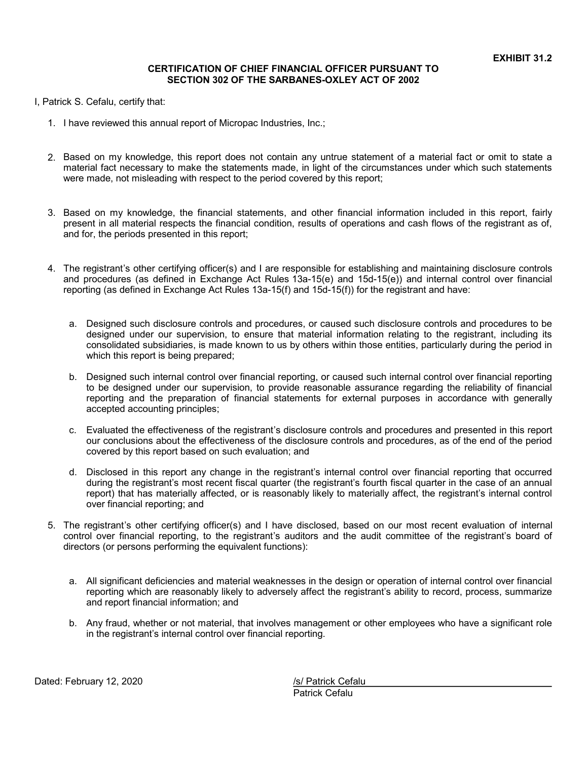## **CERTIFICATION OF CHIEF FINANCIAL OFFICER PURSUANT TO SECTION 302 OF THE SARBANES-OXLEY ACT OF 2002**

I, Patrick S. Cefalu, certify that:

- 1. I have reviewed this annual report of Micropac Industries, Inc.;
- 2. Based on my knowledge, this report does not contain any untrue statement of a material fact or omit to state a material fact necessary to make the statements made, in light of the circumstances under which such statements were made, not misleading with respect to the period covered by this report;
- 3. Based on my knowledge, the financial statements, and other financial information included in this report, fairly present in all material respects the financial condition, results of operations and cash flows of the registrant as of, and for, the periods presented in this report;
- 4. The registrant's other certifying officer(s) and I are responsible for establishing and maintaining disclosure controls and procedures (as defined in Exchange Act Rules 13a-15(e) and 15d-15(e)) and internal control over financial reporting (as defined in Exchange Act Rules 13a-15(f) and 15d-15(f)) for the registrant and have:
	- a. Designed such disclosure controls and procedures, or caused such disclosure controls and procedures to be designed under our supervision, to ensure that material information relating to the registrant, including its consolidated subsidiaries, is made known to us by others within those entities, particularly during the period in which this report is being prepared;
	- b. Designed such internal control over financial reporting, or caused such internal control over financial reporting to be designed under our supervision, to provide reasonable assurance regarding the reliability of financial reporting and the preparation of financial statements for external purposes in accordance with generally accepted accounting principles;
	- c. Evaluated the effectiveness of the registrant's disclosure controls and procedures and presented in this report our conclusions about the effectiveness of the disclosure controls and procedures, as of the end of the period covered by this report based on such evaluation; and
	- d. Disclosed in this report any change in the registrant's internal control over financial reporting that occurred during the registrant's most recent fiscal quarter (the registrant's fourth fiscal quarter in the case of an annual report) that has materially affected, or is reasonably likely to materially affect, the registrant's internal control over financial reporting; and
- 5. The registrant's other certifying officer(s) and I have disclosed, based on our most recent evaluation of internal control over financial reporting, to the registrant's auditors and the audit committee of the registrant's board of directors (or persons performing the equivalent functions):
	- a. All significant deficiencies and material weaknesses in the design or operation of internal control over financial reporting which are reasonably likely to adversely affect the registrant's ability to record, process, summarize and report financial information; and
	- b. Any fraud, whether or not material, that involves management or other employees who have a significant role in the registrant's internal control over financial reporting.

Dated: February 12, 2020 **/s/ Patrick Cefalu** 

Patrick Cefalu